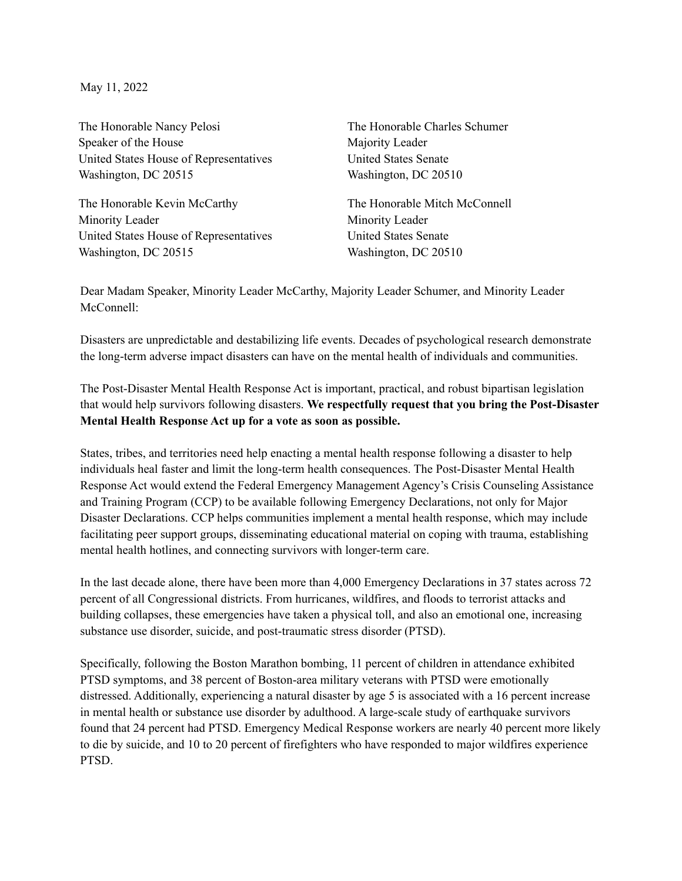May 11, 2022

The Honorable Nancy Pelosi Speaker of the House United States House of Representatives Washington, DC 20515

The Honorable Kevin McCarthy Minority Leader United States House of Representatives Washington, DC 20515

The Honorable Charles Schumer Majority Leader United States Senate Washington, DC 20510

The Honorable Mitch McConnell Minority Leader United States Senate Washington, DC 20510

Dear Madam Speaker, Minority Leader McCarthy, Majority Leader Schumer, and Minority Leader McConnell:

Disasters are unpredictable and destabilizing life events. Decades of psychological research demonstrate the long-term adverse impact disasters can have on the mental health of individuals and communities.

The Post-Disaster Mental Health Response Act is important, practical, and robust bipartisan legislation that would help survivors following disasters. **We respectfully request that you bring the Post-Disaster Mental Health Response Act up for a vote as soon as possible.**

States, tribes, and territories need help enacting a mental health response following a disaster to help individuals heal faster and limit the long-term health consequences. The Post-Disaster Mental Health Response Act would extend the Federal Emergency Management Agency's Crisis Counseling Assistance and Training Program (CCP) to be available following Emergency Declarations, not only for Major Disaster Declarations. CCP helps communities implement a mental health response, which may include facilitating peer support groups, disseminating educational material on coping with trauma, establishing mental health hotlines, and connecting survivors with longer-term care.

In the last decade alone, there have been more than 4,000 Emergency Declarations in 37 states across 72 percent of all Congressional districts. From hurricanes, wildfires, and floods to terrorist attacks and building collapses, these emergencies have taken a physical toll, and also an emotional one, increasing substance use disorder, suicide, and post-traumatic stress disorder (PTSD).

Specifically, following the Boston Marathon bombing, 11 percent of children in attendance exhibited PTSD symptoms, and 38 percent of Boston-area military veterans with PTSD were emotionally distressed. Additionally, experiencing a natural disaster by age 5 is associated with a 16 percent increase in mental health or substance use disorder by adulthood. A large-scale study of earthquake survivors found that 24 percent had PTSD. Emergency Medical Response workers are nearly 40 percent more likely to die by suicide, and 10 to 20 percent of firefighters who have responded to major wildfires experience PTSD.